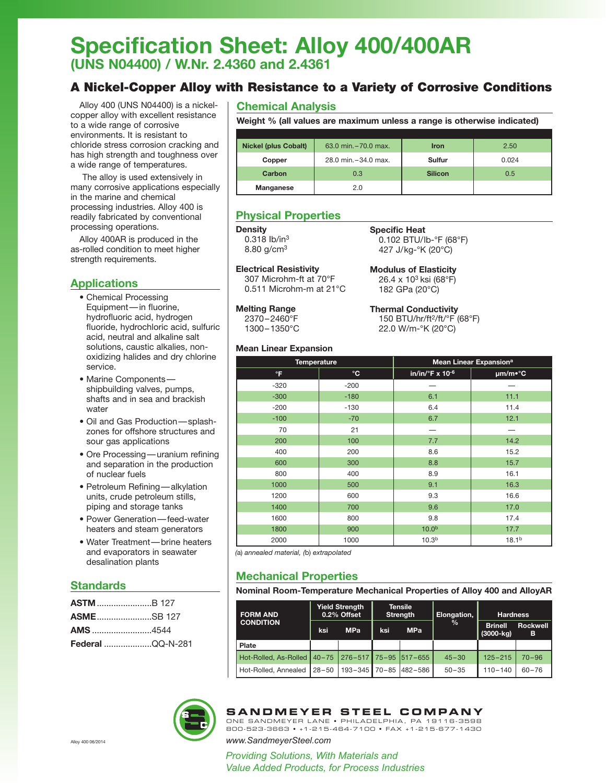# **Specification Sheet: Alloy 400/400AR (UNS N04400) / W.Nr. 2.4360 and 2.4361**

# A Nickel-Copper Alloy with Resistance to a Variety of Corrosive Conditions

Alloy 400 (UNS N04400) is a nickelcopper alloy with excellent resistance to a wide range of corrosive environments. It is resistant to chloride stress corrosion cracking and has high strength and toughness over a wide range of temperatures.

The alloy is used extensively in many corrosive applications especially in the marine and chemical processing industries. Alloy 400 is readily fabricated by conventional processing operations.

Alloy 400AR is produced in the as-rolled condition to meet higher strength requirements.

## **Applications**

- Chemical Processing Equipment—in fluorine, hydrofluoric acid, hydrogen fluoride, hydrochloric acid, sulfuric acid, neutral and alkaline salt solutions, caustic alkalies, nonoxidizing halides and dry chlorine service.
- Marine Components shipbuilding valves, pumps, shafts and in sea and brackish water
- Oil and Gas Production—splashzones for offshore structures and sour gas applications
- Ore Processing—uranium refining and separation in the production of nuclear fuels
- Petroleum Refining—alkylation units, crude petroleum stills, piping and storage tanks
- Power Generation—feed-water heaters and steam generators
- Water Treatment—brine heaters and evaporators in seawater desalination plants

### **Standards**

| <b>ASME</b> SB 127      |  |  |
|-------------------------|--|--|
| <b>AMS</b> 4544         |  |  |
| <b>Federal</b> QQ-N-281 |  |  |

# **Chemical Analysis**

**Weight % (all values are maximum unless a range is otherwise indicated)**

| <b>Nickel (plus Cobalt)</b> | 63.0 min. - 70.0 max. | <b>Iron</b>    | 2.50  |
|-----------------------------|-----------------------|----------------|-------|
| Copper                      | 28.0 min. - 34.0 max. | Sulfur         | 0.024 |
| Carbon                      | 0.3                   | <b>Silicon</b> | 0.5   |
| Manganese                   | 2.0                   |                |       |

**Specific Heat**

# **Physical Properties**

### **Density**

0.318 Ib/in3 8.80 g/cm3

**Electrical Resistivity** 307 Microhm-ft at 70°F 0.511 Microhm-m at 21°C **Modulus of Elasticity** 26.4 x 103 ksi (68°F) 182 GPa (20°C)

0.102 BTU/lb-°F (68°F) 427 J/kg-°K (20°C)

**Melting Range** 2370–2460°F

1300–1350°C

**Thermal Conductivity** 150 BTU/hr/ft2/ft/°F (68°F) 22.0 W/m-°K (20°C)

### **Mean Linear Expansion**

| $\frac{1}{2}$      |           |                                    |                   |  |
|--------------------|-----------|------------------------------------|-------------------|--|
| <b>Temperature</b> |           | Mean Linear Expansion <sup>a</sup> |                   |  |
| °F                 | $\circ$ C | $in/in/°F \times 10^{-6}$          | µm/m•°C           |  |
| $-320$             | $-200$    |                                    |                   |  |
| $-300$             | $-180$    | 6.1                                | 11.1              |  |
| $-200$             | $-130$    | 6.4                                | 11.4              |  |
| $-100$             | $-70$     | 6.7                                | 12.1              |  |
| 70                 | 21        |                                    |                   |  |
| 200                | 100       | 7.7                                | 14.2              |  |
| 400                | 200       | 8.6                                | 15.2              |  |
| 600                | 300       | 8.8                                | 15.7              |  |
| 800                | 400       | 8.9                                | 16.1              |  |
| 1000               | 500       | 9.1                                | 16.3              |  |
| 1200               | 600       | 9.3                                | 16.6              |  |
| 1400               | 700       | 9.6                                | 17.0              |  |
| 1600               | 800       | 9.8                                | 17.4              |  |
| 1800               | 900       | 10.0 <sup>b</sup>                  | 17.7              |  |
| 2000               | 1000      | 10.3 <sup>b</sup>                  | 18.1 <sup>b</sup> |  |

*(*a) *annealed material, (*b) *extrapolated*

# **Mechanical Properties**

**Nominal Room-Temperature Mechanical Properties of Alloy 400 and AlloyAR**

| <b>FORM AND</b><br><b>CONDITION</b> | ksi       | <b>Yield Strength</b><br>0.2% Offset<br><b>MPa</b> | ksi | <b>Tensile</b><br><b>Strength</b><br><b>MPa</b> | Elongation,<br>$\frac{9}{6}$ | <b>Hardness</b><br><b>Brinell</b><br>$(3000 - kq)$ | <b>Rockwell</b><br>в |
|-------------------------------------|-----------|----------------------------------------------------|-----|-------------------------------------------------|------------------------------|----------------------------------------------------|----------------------|
| Plate                               |           |                                                    |     |                                                 |                              |                                                    |                      |
| Hot-Rolled, As-Rolled 40-75         |           |                                                    |     | $276 - 517$ 75-95 517-655                       | $45 - 30$                    | $125 - 215$                                        | $70 - 96$            |
| Hot-Rolled, Annealed                | $28 - 50$ | $193 - 345$                                        |     | 70-85 482-586                                   | $50 - 35$                    | $110 - 140$                                        | $60 - 76$            |



# **SANDMEYER STEEL COMPANY**

ONE SANDMEYER LANE • PHILADELPHIA, PA 19116-3598 800-523-3663 • +1-215-464-7100 • FAX +1-215-677-1430

Alloy 400 06/2014 *www.SandmeyerSteel.com*

*Providing Solutions, With Materials and Value Added Products, for Process Industries*